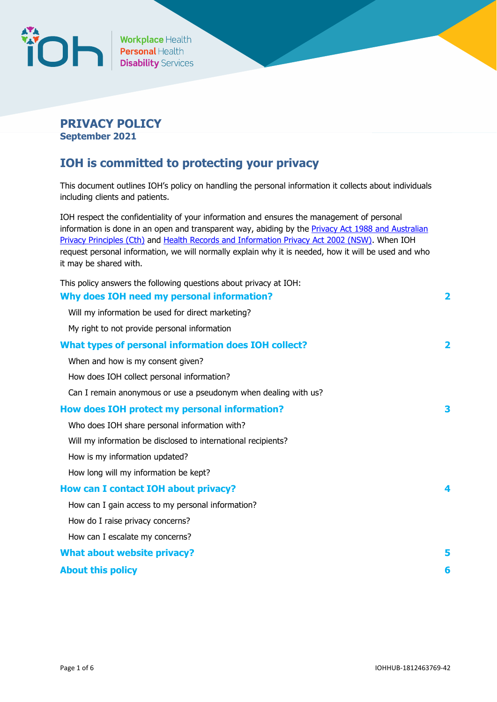

# **PRIVACY POLICY September 2021**

# **IOH is committed to protecting your privacy**

This document outlines IOH's policy on handling the personal information it collects about individuals including clients and patients.

IOH respect the confidentiality of your information and ensures the management of personal information is done in an open and transparent way, abiding by the **Privacy Act 1988 and Australian** [Privacy Principles](https://www.oaic.gov.au/privacy-law/privacy-act/) (Cth) and [Health Records and Information Privacy Act 2002 \(NSW\).](http://www.legislation.nsw.gov.au/fullhtml/inforce/act+71+2002+FIRST+0+N) When IOH request personal information, we will normally explain why it is needed, how it will be used and who it may be shared with.

| This policy answers the following questions about privacy at IOH: |                         |
|-------------------------------------------------------------------|-------------------------|
| Why does IOH need my personal information?                        | $\overline{\mathbf{2}}$ |
| Will my information be used for direct marketing?                 |                         |
| My right to not provide personal information                      |                         |
| What types of personal information does IOH collect?              | $\overline{\mathbf{2}}$ |
| When and how is my consent given?                                 |                         |
| How does IOH collect personal information?                        |                         |
| Can I remain anonymous or use a pseudonym when dealing with us?   |                         |
| How does IOH protect my personal information?                     | 3                       |
| Who does IOH share personal information with?                     |                         |
| Will my information be disclosed to international recipients?     |                         |
| How is my information updated?                                    |                         |
| How long will my information be kept?                             |                         |
| <b>How can I contact IOH about privacy?</b>                       | 4                       |
| How can I gain access to my personal information?                 |                         |
| How do I raise privacy concerns?                                  |                         |
| How can I escalate my concerns?                                   |                         |
| <b>What about website privacy?</b>                                | 5                       |
| <b>About this policy</b>                                          | 6                       |
|                                                                   |                         |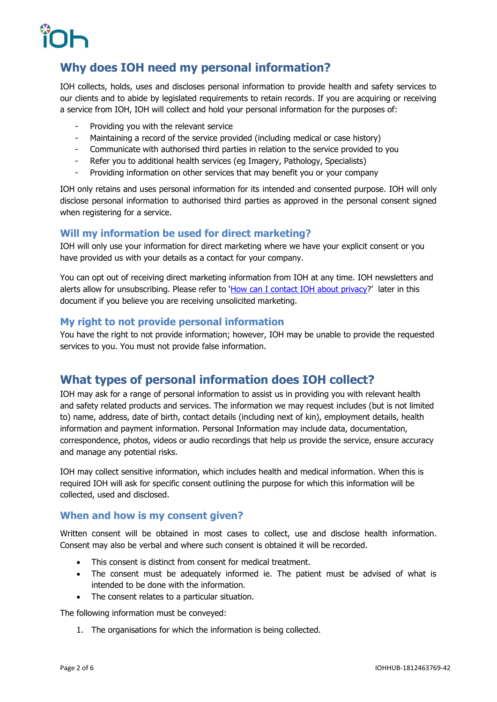# <span id="page-1-0"></span>**Why does IOH need my personal information?**

IOH collects, holds, uses and discloses personal information to provide health and safety services to our clients and to abide by legislated requirements to retain records. If you are acquiring or receiving a service from IOH, IOH will collect and hold your personal information for the purposes of:

- Providing you with the relevant service
- Maintaining a record of the service provided (including medical or case history)
- Communicate with authorised third parties in relation to the service provided to you
- Refer you to additional health services (eg Imagery, Pathology, Specialists)
- Providing information on other services that may benefit you or your company

IOH only retains and uses personal information for its intended and consented purpose. IOH will only disclose personal information to authorised third parties as approved in the personal consent signed when registering for a service.

## <span id="page-1-1"></span>**Will my information be used for direct marketing?**

IOH will only use your information for direct marketing where we have your explicit consent or you have provided us with your details as a contact for your company.

You can opt out of receiving direct marketing information from IOH at any time. IOH newsletters and alerts allow for unsubscribing. Please refer to '[How can I contact IOH about privacy](#page-3-3)?' later in this document if you believe you are receiving unsolicited marketing.

## <span id="page-1-2"></span>**My right to not provide personal information**

You have the right to not provide information; however, IOH may be unable to provide the requested services to you. You must not provide false information.

# <span id="page-1-3"></span>**What types of personal information does IOH collect?**

IOH may ask for a range of personal information to assist us in providing you with relevant health and safety related products and services. The information we may request includes (but is not limited to) name, address, date of birth, contact details (including next of kin), employment details, health information and payment information. Personal Information may include data, documentation, correspondence, photos, videos or audio recordings that help us provide the service, ensure accuracy and manage any potential risks.

IOH may collect sensitive information, which includes health and medical information. When this is required IOH will ask for specific consent outlining the purpose for which this information will be collected, used and disclosed.

# <span id="page-1-4"></span>**When and how is my consent given?**

Written consent will be obtained in most cases to collect, use and disclose health information. Consent may also be verbal and where such consent is obtained it will be recorded.

- This consent is distinct from consent for medical treatment.
- The consent must be adequately informed ie. The patient must be advised of what is intended to be done with the information.
- The consent relates to a particular situation.

The following information must be conveyed:

1. The organisations for which the information is being collected.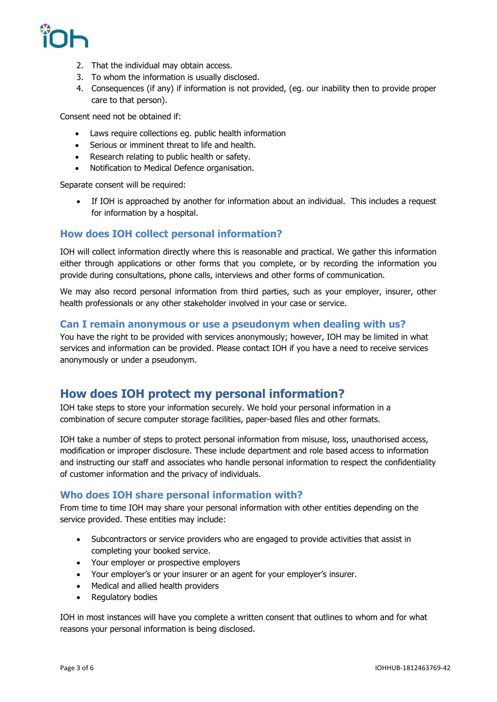- 2. That the individual may obtain access.
- 3. To whom the information is usually disclosed.
- 4. Consequences (if any) if information is not provided, (eg. our inability then to provide proper care to that person).

Consent need not be obtained if:

- Laws require collections eg. public health information
- Serious or imminent threat to life and health.
- Research relating to public health or safety.
- Notification to Medical Defence organisation.

Separate consent will be required:

• If IOH is approached by another for information about an individual. This includes a request for information by a hospital.

# <span id="page-2-0"></span>**How does IOH collect personal information?**

IOH will collect information directly where this is reasonable and practical. We gather this information either through applications or other forms that you complete, or by recording the information you provide during consultations, phone calls, interviews and other forms of communication.

We may also record personal information from third parties, such as your employer, insurer, other health professionals or any other stakeholder involved in your case or service.

## <span id="page-2-1"></span>**Can I remain anonymous or use a pseudonym when dealing with us?**

You have the right to be provided with services anonymously; however, IOH may be limited in what services and information can be provided. Please contact IOH if you have a need to receive services anonymously or under a pseudonym.

# <span id="page-2-2"></span>**How does IOH protect my personal information?**

IOH take steps to store your information securely. We hold your personal information in a combination of secure computer storage facilities, paper-based files and other formats.

IOH take a number of steps to protect personal information from misuse, loss, unauthorised access, modification or improper disclosure. These include department and role based access to information and instructing our staff and associates who handle personal information to respect the confidentiality of customer information and the privacy of individuals.

# <span id="page-2-3"></span>**Who does IOH share personal information with?**

From time to time IOH may share your personal information with other entities depending on the service provided. These entities may include:

- Subcontractors or service providers who are engaged to provide activities that assist in completing your booked service.
- Your employer or prospective employers
- Your employer's or your insurer or an agent for your employer's insurer.
- Medical and allied health providers
- Regulatory bodies

IOH in most instances will have you complete a written consent that outlines to whom and for what reasons your personal information is being disclosed.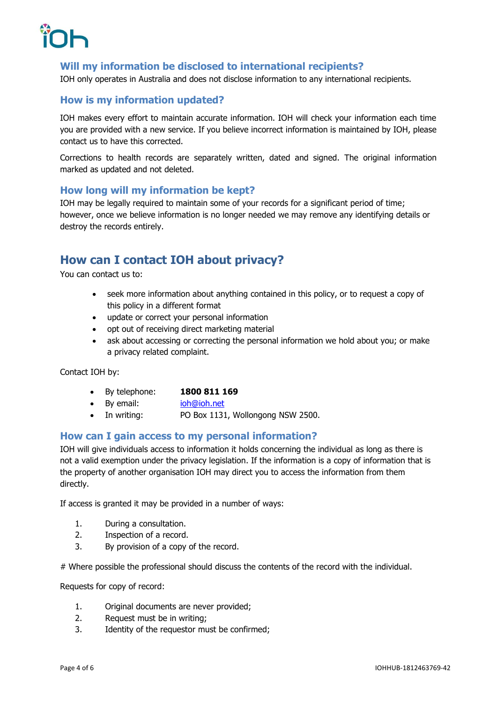

# <span id="page-3-0"></span>**Will my information be disclosed to international recipients?**

IOH only operates in Australia and does not disclose information to any international recipients.

# <span id="page-3-1"></span>**How is my information updated?**

IOH makes every effort to maintain accurate information. IOH will check your information each time you are provided with a new service. If you believe incorrect information is maintained by IOH, please contact us to have this corrected.

Corrections to health records are separately written, dated and signed. The original information marked as updated and not deleted.

## <span id="page-3-2"></span>**How long will my information be kept?**

IOH may be legally required to maintain some of your records for a significant period of time; however, once we believe information is no longer needed we may remove any identifying details or destroy the records entirely.

# <span id="page-3-3"></span>**How can I contact IOH about privacy?**

You can contact us to:

- seek more information about anything contained in this policy, or to request a copy of this policy in a different format
- update or correct your personal information
- opt out of receiving direct marketing material
- ask about accessing or correcting the personal information we hold about you; or make a privacy related complaint.

Contact IOH by:

- By telephone: **1800 811 169**
- By email: [ioh@ioh.net](mailto:ioh@ioh.net)
- In writing: PO Box 1131, Wollongong NSW 2500.

## <span id="page-3-4"></span>**How can I gain access to my personal information?**

IOH will give individuals access to information it holds concerning the individual as long as there is not a valid exemption under the privacy legislation. If the information is a copy of information that is the property of another organisation IOH may direct you to access the information from them directly.

If access is granted it may be provided in a number of ways:

- 1. During a consultation.
- 2. Inspection of a record.
- 3. By provision of a copy of the record.

# Where possible the professional should discuss the contents of the record with the individual.

Requests for copy of record:

- 1. Original documents are never provided;
- 2. Request must be in writing;
- 3. Identity of the requestor must be confirmed;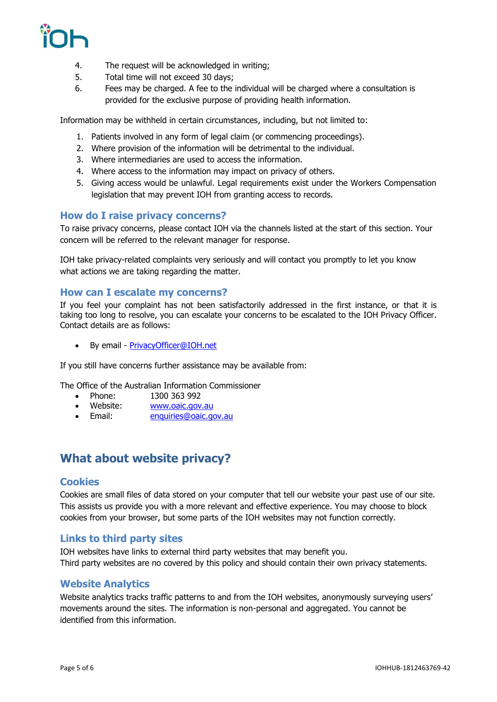

- 4. The request will be acknowledged in writing;
- 5. Total time will not exceed 30 days;
- 6. Fees may be charged. A fee to the individual will be charged where a consultation is provided for the exclusive purpose of providing health information.

Information may be withheld in certain circumstances, including, but not limited to:

- 1. Patients involved in any form of legal claim (or commencing proceedings).
- 2. Where provision of the information will be detrimental to the individual.
- 3. Where intermediaries are used to access the information.
- 4. Where access to the information may impact on privacy of others.
- 5. Giving access would be unlawful. Legal requirements exist under the Workers Compensation legislation that may prevent IOH from granting access to records.

# <span id="page-4-0"></span>**How do I raise privacy concerns?**

To raise privacy concerns, please contact IOH via the channels listed at the start of this section. Your concern will be referred to the relevant manager for response.

IOH take privacy-related complaints very seriously and will contact you promptly to let you know what actions we are taking regarding the matter.

## <span id="page-4-1"></span>**How can I escalate my concerns?**

If you feel your complaint has not been satisfactorily addressed in the first instance, or that it is taking too long to resolve, you can escalate your concerns to be escalated to the IOH Privacy Officer. Contact details are as follows:

• By email - [PrivacyOfficer@IOH.net](mailto:PrivacyOfficer@IOH.net)

If you still have concerns further assistance may be available from:

The Office of the Australian Information Commissioner

- Phone: 1300 363 992
- Website: [www.oaic.gov.au](http://www.oaic.gov.au/)
- Email: [enquiries@oaic.gov.au](mailto:enquiries@oaic.gov.au)

# <span id="page-4-2"></span>**What about website privacy?**

## **Cookies**

Cookies are small files of data stored on your computer that tell our website your past use of our site. This assists us provide you with a more relevant and effective experience. You may choose to block cookies from your browser, but some parts of the IOH websites may not function correctly.

## **Links to third party sites**

IOH websites have links to external third party websites that may benefit you. Third party websites are no covered by this policy and should contain their own privacy statements.

## **Website Analytics**

Website analytics tracks traffic patterns to and from the IOH websites, anonymously surveying users' movements around the sites. The information is non-personal and aggregated. You cannot be identified from this information.